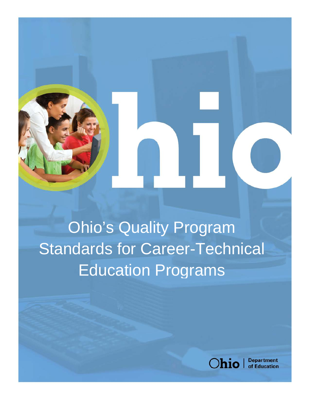Ohio's Quality Program Standards for Career-Technical Education Programs



**Department** of Education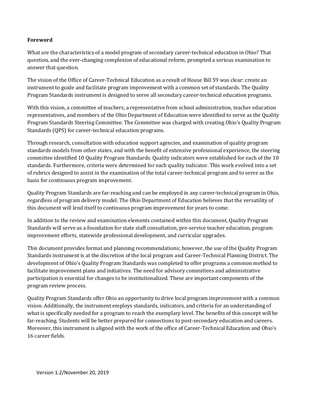#### **Foreword**

What are the characteristics of a model program of secondary career-technical education in Ohio? That question, and the ever-changing complexion of educational reform, prompted a serious examination to answer that question.

The vision of the Office of Career-Technical Education as a result of House Bill 59 was clear: create an instrument to guide and facilitate program improvement with a common set of standards. The Quality Program Standards instrument is designed to serve all secondary career-technical education programs.

With this vision, a committee of teachers, a representative from school administration, teacher education representatives, and members of the Ohio Department of Education were identified to serve as the Quality Program Standards Steering Committee. The Committee was charged with creating Ohio's Quality Program Standards (QPS) for career-technical education programs.

Through research, consultation with education support agencies, and examination of quality program standards models from other states, and with the benefit of extensive professional experience, the steering committee identified 10 Quality Program Standards. Quality indicators were established for each of the 10 standards. Furthermore, criteria were determined for each quality indicator. This work evolved into a set of rubrics designed to assist in the examination of the total career-technical program and to serve as the basis for continuous program improvement.

Quality Program Standards are far-reaching and can be employed in any career-technical program in Ohio, regardless of program delivery model. The Ohio Department of Education believes that the versatility of this document will lend itself to continuous program improvement for years to come.

In addition to the review and examination elements contained within this document, Quality Program Standards will serve as a foundation for state staff consultation, pre-service teacher education, program improvement efforts, statewide professional development, and curricular upgrades.

This document provides format and planning recommendations; however, the use of the Quality Program Standards instrument is at the discretion of the local program and Career-Technical Planning District. The development of Ohio's Quality Program Standards was completed to offer programs a common method to facilitate improvement plans and initiatives. The need for advisory committees and administrative participation is essential for changes to be institutionalized. These are important components of the program review process.

Quality Program Standards offer Ohio an opportunity to drive local program improvement with a common vision. Additionally, the instrument employs standards, indicators, and criteria for an understanding of what is specifically needed for a program to reach the exemplary level. The benefits of this concept will be far-reaching. Students will be better prepared for connections to post-secondary education and careers. Moreover, this instrument is aligned with the work of the office of Career-Technical Education and Ohio's 16 career fields.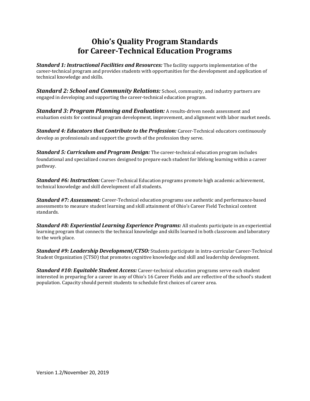# **Ohio's Quality Program Standards for Career-Technical Education Programs**

*Standard 1: Instructional Facilities and Resources:* The facility supports implementation of the career-technical program and provides students with opportunities for the development and application of technical knowledge and skills.

*Standard 2: School and Community Relations: School, community, and industry partners are* engaged in developing and supporting the career-technical education program.

*Standard 3: Program Planning and Evaluation:* A results-driven needs assessment and evaluation exists for continual program development, improvement, and alignment with labor market needs.

*Standard 4: Educators that Contribute to the Profession:* Career-Technical educators continuously develop as professionals and support the growth of the profession they serve.

*Standard 5: Curriculum and Program Design:* The career-technical education program includes foundational and specialized courses designed to prepare each student for lifelong learning within a career pathway.

*Standard #6: Instruction:* Career-Technical Education programs promote high academic achievement, technical knowledge and skill development of all students.

*Standard #7: Assessment:* Career-Technical education programs use authentic and performance-based assessments to measure student learning and skill attainment of Ohio's Career Field Technical content standards.

*Standard #8: Experiential Learning Experience Programs:* All students participate in an experiential learning program that connects the technical knowledge and skills learned in both classroom and laboratory to the work place.

*Standard #9: Leadership Development/CTSO:* Students participate in intra-curricular Career-Technical Student Organization (CTSO) that promotes cognitive knowledge and skill and leadership development.

*Standard #10: Equitable Student Access:* Career-technical education programs serve each student interested in preparing for a career in any of Ohio's 16 Career Fields and are reflective of the school's student population. Capacity should permit students to schedule first choices of career area.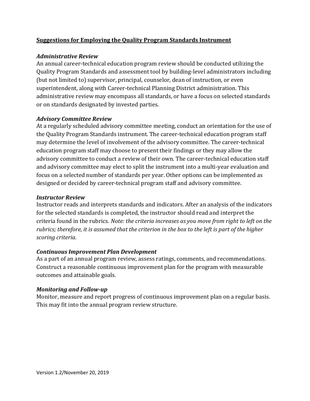#### **Suggestions for Employing the Quality Program Standards Instrument**

#### *Administrative Review*

An annual career-technical education program review should be conducted utilizing the Quality Program Standards and assessment tool by building-level administrators including (but not limited to) supervisor, principal, counselor, dean of instruction, or even superintendent, along with Career-technical Planning District administration. This administrative review may encompass all standards, or have a focus on selected standards or on standards designated by invested parties.

#### *Advisory Committee Review*

At a regularly scheduled advisory committee meeting, conduct an orientation for the use of the Quality Program Standards instrument. The career-technical education program staff may determine the level of involvement of the advisory committee. The career-technical education program staff may choose to present their findings or they may allow the advisory committee to conduct a review of their own. The career-technical education staff and advisory committee may elect to split the instrument into a multi-year evaluation and focus on a selected number of standards per year. Other options can be implemented as designed or decided by career-technical program staff and advisory committee.

#### *Instructor Review*

Instructor reads and interprets standards and indicators. After an analysis of the indicators for the selected standards is completed, the instructor should read and interpret the criteria found in the rubrics. *Note: the criteria increases as you move from right to left on the rubrics; therefore, it is assumed that the criterion in the box to the left is part of the higher scoring criteria*.

#### *Continuous Improvement Plan Development*

As a part of an annual program review, assess ratings, comments, and recommendations. Construct a reasonable continuous improvement plan for the program with measurable outcomes and attainable goals.

#### *Monitoring and Follow-up*

Monitor, measure and report progress of continuous improvement plan on a regular basis. This may fit into the annual program review structure.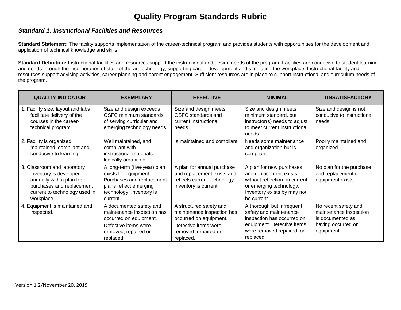# **Quality Program Standards Rubric**

#### *Standard 1: Instructional Facilities and Resources*

Standard Statement: The facility supports implementation of the career-technical program and provides students with opportunities for the development and application of technical knowledge and skills.

**Standard Definition:** Instructional facilities and resources support the instructional and design needs of the program. Facilities are conducive to student learning and needs through the incorporation of state of the art technology, supporting career development and simulating the workplace. Instructional facility and resources support advising activities, career planning and parent engagement. Sufficient resources are in place to support instructional and curriculum needs of the program.

| <b>QUALITY INDICATOR</b>                                                                                                                                      | <b>EXEMPLARY</b>                                                                                                                                     | <b>EFFECTIVE</b>                                                                                                                             | <b>MINIMAL</b>                                                                                                                                               | <b>UNSATISFACTORY</b>                                                                                  |
|---------------------------------------------------------------------------------------------------------------------------------------------------------------|------------------------------------------------------------------------------------------------------------------------------------------------------|----------------------------------------------------------------------------------------------------------------------------------------------|--------------------------------------------------------------------------------------------------------------------------------------------------------------|--------------------------------------------------------------------------------------------------------|
| 1. Facility size, layout and labs<br>facilitate delivery of the<br>courses in the career-<br>technical program.                                               | Size and design exceeds<br>OSFC minimum standards<br>of serving curricular and<br>emerging technology needs.                                         | Size and design meets<br>OSFC standards and<br>current instructional<br>needs.                                                               | Size and design meets<br>minimum standard, but<br>instructor(s) needs to adjust<br>to meet current instructional<br>needs.                                   | Size and design is not<br>conducive to instructional<br>needs.                                         |
| 2. Facility is organized,<br>maintained, compliant and<br>conducive to learning.                                                                              | Well maintained, and<br>compliant with<br>instructional materials<br>logically organized.                                                            | Is maintained and compliant.                                                                                                                 | Needs some maintenance<br>and organization but is<br>compliant.                                                                                              | Poorly maintained and<br>organized.                                                                    |
| 3. Classroom and laboratory<br>inventory is developed<br>annually with a plan for<br>purchases and replacement<br>current to technology used in<br>workplace. | A long-term (five-year) plan<br>exists for equipment.<br>Purchases and replacement<br>plans reflect emerging<br>technology. Inventory is<br>current. | A plan for annual purchase<br>and replacement exists and<br>reflects current technology.<br>Inventory is current.                            | A plan for new purchases<br>and replacement exists<br>without reflection on current<br>or emerging technology.<br>Inventory exists by may not<br>be current. | No plan for the purchase<br>and replacement of<br>equipment exists.                                    |
| 4. Equipment is maintained and<br>inspected.                                                                                                                  | A documented safety and<br>maintenance inspection has<br>occurred on equipment.<br>Defective items were<br>removed, repaired or<br>replaced.         | A structured safety and<br>maintenance inspection has<br>occurred on equipment.<br>Defective items were<br>removed, repaired or<br>replaced. | A thorough but infrequent<br>safety and maintenance<br>inspection has occurred on<br>equipment. Defective items<br>were removed repaired, or<br>replaced.    | No recent safety and<br>maintenance inspection<br>is documented as<br>having occurred on<br>equipment. |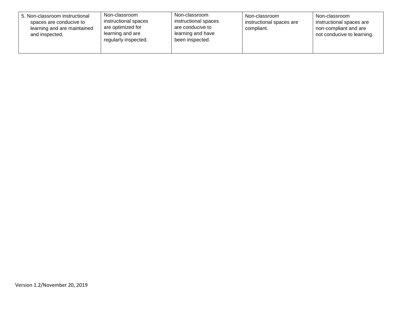| 5. Non-classroom instructional<br>spaces are conducive to<br>learning and are maintained<br>and inspected. | Non-classroom<br>instructional spaces<br>are optimized for<br>learning and are<br>regularly inspected. | Non-classroom<br>instructional spaces<br>are conducive to<br>learning and have<br>been inspected. | Non-classroom<br>instructional spaces are<br>compliant. | Non-classroom<br>instructional spaces are<br>non-compliant and are<br>not conducive to learning. |
|------------------------------------------------------------------------------------------------------------|--------------------------------------------------------------------------------------------------------|---------------------------------------------------------------------------------------------------|---------------------------------------------------------|--------------------------------------------------------------------------------------------------|
|------------------------------------------------------------------------------------------------------------|--------------------------------------------------------------------------------------------------------|---------------------------------------------------------------------------------------------------|---------------------------------------------------------|--------------------------------------------------------------------------------------------------|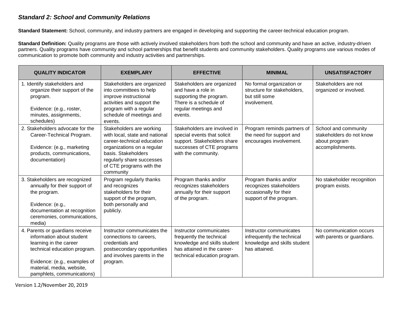#### *Standard 2: School and Community Relations*

**Standard Statement:** School, community, and industry partners are engaged in developing and supporting the career-technical education program.

**Standard Definition:** Quality programs are those with actively involved stakeholders from both the school and community and have an active, industry-driven partners. Quality programs have community and school partnerships that benefit students and community stakeholders. Quality programs use various modes of communication to promote both community and industry activities and partnerships.

| <b>QUALITY INDICATOR</b>                                                                                                                                                                                          | <b>EXEMPLARY</b>                                                                                                                                                                                                    | <b>EFFECTIVE</b>                                                                                                                                   | <b>MINIMAL</b>                                                                                         | <b>UNSATISFACTORY</b>                                                                 |
|-------------------------------------------------------------------------------------------------------------------------------------------------------------------------------------------------------------------|---------------------------------------------------------------------------------------------------------------------------------------------------------------------------------------------------------------------|----------------------------------------------------------------------------------------------------------------------------------------------------|--------------------------------------------------------------------------------------------------------|---------------------------------------------------------------------------------------|
| 1. Identify stakeholders and<br>organize their support of the<br>program.<br>Evidence: (e.g., roster,<br>minutes, assignments,<br>schedules)                                                                      | Stakeholders are organized<br>into committees to help<br>improve instructional<br>activities and support the<br>program with a regular<br>schedule of meetings and<br>events.                                       | Stakeholders are organized<br>and have a role in<br>supporting the program.<br>There is a schedule of<br>regular meetings and<br>events.           | No formal organization or<br>structure for stakeholders,<br>but still some<br>involvement.             | Stakeholders are not<br>organized or involved.                                        |
| 2. Stakeholders advocate for the<br>Career-Technical Program.<br>Evidence: (e.g., marketing<br>products, communications,<br>documentation)                                                                        | Stakeholders are working<br>with local, state and national<br>career-technical education<br>organizations on a regular<br>basis. Stakeholders<br>regularly share successes<br>of CTE programs with the<br>community | Stakeholders are involved in<br>special events that solicit<br>support. Stakeholders share<br>successes of CTE programs<br>with the community.     | Program reminds partners of<br>the need for support and<br>encourages involvement.                     | School and community<br>stakeholders do not know<br>about program<br>accomplishments. |
| 3. Stakeholders are recognized<br>annually for their support of<br>the program.<br>Evidence: (e.g.,<br>documentation at recognition<br>ceremonies, communications,<br>media)                                      | Program regularly thanks<br>and recognizes<br>stakeholders for their<br>support of the program,<br>both personally and<br>publicly.                                                                                 | Program thanks and/or<br>recognizes stakeholders<br>annually for their support<br>of the program.                                                  | Program thanks and/or<br>recognizes stakeholders<br>occasionally for their<br>support of the program.  | No stakeholder recognition<br>program exists.                                         |
| 4. Parents or guardians receive<br>information about student<br>learning in the career<br>technical education program.<br>Evidence: (e.g., examples of<br>material, media, website,<br>pamphlets, communications) | Instructor communicates the<br>connections to careers,<br>credentials and<br>postsecondary opportunities<br>and involves parents in the<br>program.                                                                 | Instructor communicates<br>frequently the technical<br>knowledge and skills student<br>has attained in the career-<br>technical education program. | Instructor communicates<br>infrequently the technical<br>knowledge and skills student<br>has attained. | No communication occurs<br>with parents or guardians.                                 |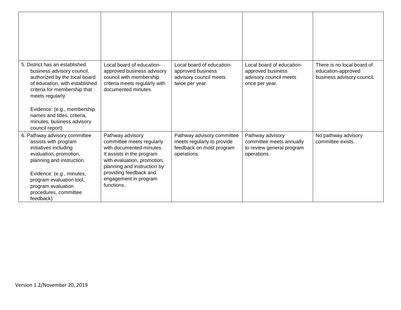| 5. District has an established<br>business advisory council,<br>authorized by the local board<br>of education, with established<br>criteria for membership that<br>meets regularly.<br>Evidence: (e.g., membership<br>names and titles, criteria,<br>minutes, business advisory<br>council report) | Local board of education-<br>approved business advisory<br>council with membership<br>criteria meets regularly with<br>documented minutes.                                                                                            | Local board of education-<br>approved business<br>advisory council meets<br>twice per year.         | Local board of education-<br>approved business<br>advisory council meets<br>once per year. | There is no local board of<br>education-approved<br>business advisory council. |
|----------------------------------------------------------------------------------------------------------------------------------------------------------------------------------------------------------------------------------------------------------------------------------------------------|---------------------------------------------------------------------------------------------------------------------------------------------------------------------------------------------------------------------------------------|-----------------------------------------------------------------------------------------------------|--------------------------------------------------------------------------------------------|--------------------------------------------------------------------------------|
| 6. Pathway advisory committee<br>assists with program<br>initiatives including<br>evaluation, promotion,<br>planning and instruction.<br>Evidence: (e.g., minutes,<br>program evaluation tool,<br>program evaluation<br>procedures, committee<br>feedback)                                         | Pathway advisory<br>committee meets regularly<br>with documented minutes.<br>It assists in the program<br>with evaluation, promotion,<br>planning and instruction by<br>providing feedback and<br>engagement in program<br>functions. | Pathway advisory committee<br>meets regularly to provide<br>feedback on most program<br>operations. | Pathway advisory<br>committee meets annually<br>to review general program<br>operations.   | No pathway advisory<br>committee exists.                                       |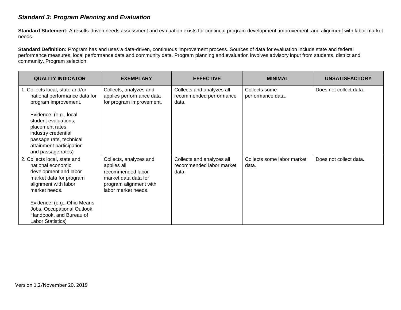#### *Standard 3: Program Planning and Evaluation*

**Standard Statement:** A results-driven needs assessment and evaluation exists for continual program development, improvement, and alignment with labor market needs.

**Standard Definition:** Program has and uses a data-driven, continuous improvement process. Sources of data for evaluation include state and federal performance measures, local performance data and community data. Program planning and evaluation involves advisory input from students, district and community. Program selection

| <b>QUALITY INDICATOR</b>                                                                                                                                                                                                                                           | <b>EXEMPLARY</b>                                                                                                                    | <b>EFFECTIVE</b>                                               | <b>MINIMAL</b>                      | <b>UNSATISFACTORY</b>  |
|--------------------------------------------------------------------------------------------------------------------------------------------------------------------------------------------------------------------------------------------------------------------|-------------------------------------------------------------------------------------------------------------------------------------|----------------------------------------------------------------|-------------------------------------|------------------------|
| 1. Collects local, state and/or<br>national performance data for<br>program improvement.<br>Evidence: (e.g., local<br>student evaluations,<br>placement rates,<br>industry credential<br>passage rate, technical<br>attainment participation<br>and passage rates) | Collects, analyzes and<br>applies performance data<br>for program improvement.                                                      | Collects and analyzes all<br>recommended performance<br>data.  | Collects some<br>performance data.  | Does not collect data. |
| 2. Collects local, state and<br>national economic<br>development and labor<br>market data for program<br>alignment with labor<br>market needs.<br>Evidence: (e.g., Ohio Means<br>Jobs, Occupational Outlook<br>Handbook, and Bureau of<br>Labor Statistics)        | Collects, analyzes and<br>applies all<br>recommended labor<br>market data data for<br>program alignment with<br>labor market needs. | Collects and analyzes all<br>recommended labor market<br>data. | Collects some labor market<br>data. | Does not collect data. |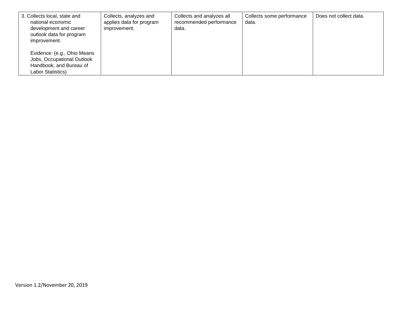| 3. Collects local, state and<br>national economic<br>development and career<br>outlook data for program<br>improvement. | Collects, analyzes and<br>applies data for program<br>improvement. | Collects and analyzes all<br>recommended performance<br>data. | Collects some performance<br>data. | Does not collect data. |
|-------------------------------------------------------------------------------------------------------------------------|--------------------------------------------------------------------|---------------------------------------------------------------|------------------------------------|------------------------|
| Evidence: (e.g., Ohio Means<br>Jobs, Occupational Outlook<br>Handbook, and Bureau of<br>Labor Statistics)               |                                                                    |                                                               |                                    |                        |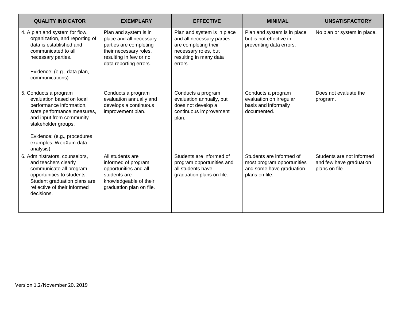| <b>QUALITY INDICATOR</b>                                                                                                                                                                                                               | <b>EXEMPLARY</b>                                                                                                                                         | <b>EFFECTIVE</b>                                                                                                                              | <b>MINIMAL</b>                                                                                       | <b>UNSATISFACTORY</b>                                                  |
|----------------------------------------------------------------------------------------------------------------------------------------------------------------------------------------------------------------------------------------|----------------------------------------------------------------------------------------------------------------------------------------------------------|-----------------------------------------------------------------------------------------------------------------------------------------------|------------------------------------------------------------------------------------------------------|------------------------------------------------------------------------|
| 4. A plan and system for flow,<br>organization, and reporting of<br>data is established and<br>communicated to all<br>necessary parties.<br>Evidence: (e.g., data plan,<br>communications)                                             | Plan and system is in<br>place and all necessary<br>parties are completing<br>their necessary roles,<br>resulting in few or no<br>data reporting errors. | Plan and system is in place<br>and all necessary parties<br>are completing their<br>necessary roles, but<br>resulting in many data<br>errors. | Plan and system is in place<br>but is not effective in<br>preventing data errors.                    | No plan or system in place.                                            |
| 5. Conducts a program<br>evaluation based on local<br>performance information,<br>state performance measures,<br>and input from community<br>stakeholder groups.<br>Evidence: (e.g., procedures,<br>examples, WebXam data<br>analysis) | Conducts a program<br>evaluation annually and<br>develops a continuous<br>improvement plan.                                                              | Conducts a program<br>evaluation annually, but<br>does not develop a<br>continuous improvement<br>plan.                                       | Conducts a program<br>evaluation on irregular<br>basis and informally<br>documented.                 | Does not evaluate the<br>program.                                      |
| 6. Administrators, counselors,<br>and teachers clearly<br>communicate all program<br>opportunities to students.<br>Student graduation plans are<br>reflective of their informed<br>decisions.                                          | All students are<br>informed of program<br>opportunities and all<br>students are<br>knowledgeable of their<br>graduation plan on file.                   | Students are informed of<br>program opportunities and<br>all students have<br>graduation plans on file.                                       | Students are informed of<br>most program opportunities<br>and some have graduation<br>plans on file. | Students are not informed<br>and few have graduation<br>plans on file. |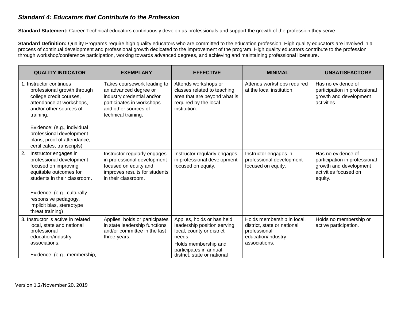#### *Standard 4: Educators that Contribute to the Profession*

**Standard Statement:** Career-Technical educators continuously develop as professionals and support the growth of the profession they serve.

**Standard Definition:** Quality Programs require high quality educators who are committed to the education profession. High quality educators are involved in a process of continual development and professional growth dedicated to the improvement of the program. High quality educators contribute to the profession through workshop/conference participation, working towards advanced degrees, and achieving and maintaining professional licensure.

| <b>QUALITY INDICATOR</b>                                                                                                                               | <b>EXEMPLARY</b>                                                                                                                                               | <b>EFFECTIVE</b>                                                                                                                                                                  | <b>MINIMAL</b>                                                                                                   | <b>UNSATISFACTORY</b>                                                                                             |
|--------------------------------------------------------------------------------------------------------------------------------------------------------|----------------------------------------------------------------------------------------------------------------------------------------------------------------|-----------------------------------------------------------------------------------------------------------------------------------------------------------------------------------|------------------------------------------------------------------------------------------------------------------|-------------------------------------------------------------------------------------------------------------------|
| . Instructor continues<br>professional growth through<br>college credit courses,<br>attendance at workshops,<br>and/or other sources of<br>training.   | Takes coursework leading to<br>an advanced degree or<br>industry credential and/or<br>participates in workshops<br>and other sources of<br>technical training. | Attends workshops or<br>classes related to teaching<br>area that are beyond what is<br>required by the local<br>institution.                                                      | Attends workshops required<br>at the local institution.                                                          | Has no evidence of<br>participation in professional<br>growth and development<br>activities.                      |
| Evidence: (e.g., individual<br>professional development<br>plans, proof of attendance,<br>certificates, transcripts)                                   |                                                                                                                                                                |                                                                                                                                                                                   |                                                                                                                  |                                                                                                                   |
| 2.<br>Instructor engages in<br>professional development<br>focused on improving<br>equitable outcomes for<br>students in their classroom.              | Instructor regularly engages<br>in professional development<br>focused on equity and<br>improves results for students<br>in their classroom.                   | Instructor regularly engages<br>in professional development<br>focused on equity.                                                                                                 | Instructor engages in<br>professional development<br>focused on equity.                                          | Has no evidence of<br>participation in professional<br>growth and development<br>activities focused on<br>equity. |
| Evidence: (e.g., culturally<br>responsive pedagogy,<br>implicit bias, stereotype<br>threat training)                                                   |                                                                                                                                                                |                                                                                                                                                                                   |                                                                                                                  |                                                                                                                   |
| 3. Instructor is active in related<br>local, state and national<br>professional<br>education/industry<br>associations.<br>Evidence: (e.g., membership, | Applies, holds or participates<br>in state leadership functions<br>and/or committee in the last<br>three years.                                                | Applies, holds or has held<br>leadership position serving<br>local, county or district<br>needs.<br>Holds membership and<br>participates in annual<br>district, state or national | Holds membership in local,<br>district, state or national<br>professional<br>education/industry<br>associations. | Holds no membership or<br>active participation.                                                                   |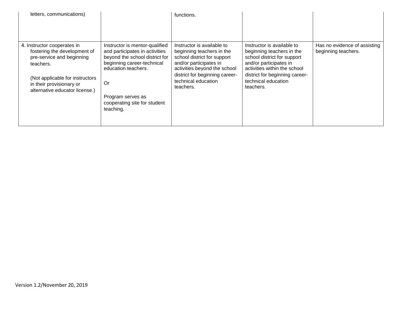| letters, communications)                                                                                                                                                                                |                                                                                                                                                                                                                                 | functions.                                                                                                                                                                                                             |                                                                                                                                                                                                                        |                                                     |
|---------------------------------------------------------------------------------------------------------------------------------------------------------------------------------------------------------|---------------------------------------------------------------------------------------------------------------------------------------------------------------------------------------------------------------------------------|------------------------------------------------------------------------------------------------------------------------------------------------------------------------------------------------------------------------|------------------------------------------------------------------------------------------------------------------------------------------------------------------------------------------------------------------------|-----------------------------------------------------|
| 4. Instructor cooperates in<br>fostering the development of<br>pre-service and beginning<br>teachers.<br>(Not applicable for instructors)<br>in their provisionary or<br>alternative educator license.) | Instructor is mentor-qualified<br>and participates in activities<br>beyond the school district for<br>beginning career-technical<br>education teachers.<br>Or<br>Program serves as<br>cooperating site for student<br>teaching. | Instructor is available to<br>beginning teachers in the<br>school district for support<br>and/or participates in<br>activities beyond the school<br>district for beginning career-<br>technical education<br>teachers. | Instructor is available to<br>beginning teachers in the<br>school district for support<br>and/or participates in<br>activities within the school<br>district for beginning career-<br>technical education<br>teachers. | Has no evidence of assisting<br>beginning teachers. |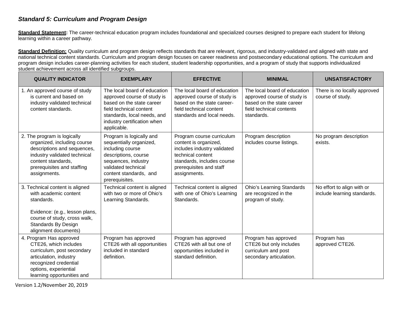#### *Standard 5: Curriculum and Program Design*

**Standard Statement:** The career-technical education program includes foundational and specialized courses designed to prepare each student for lifelong learning within a career pathway.

**Standard Definition:** Quality curriculum and program design reflects standards that are relevant, rigorous, and industry-validated and aligned with state and national technical content standards. Curriculum and program design focuses on career readiness and postsecondary educational options. The curriculum and program design includes career-planning activities for each student, student leadership opportunities, and a program of study that supports individualized student achievement across all identified subgroups.

| <b>QUALITY INDICATOR</b>                                                                                                                                                                      | <b>EXEMPLARY</b>                                                                                                                                                                                 | <b>EFFECTIVE</b>                                                                                                                                                                | <b>MINIMAL</b>                                                                                                                     | <b>UNSATISFACTORY</b>                                     |
|-----------------------------------------------------------------------------------------------------------------------------------------------------------------------------------------------|--------------------------------------------------------------------------------------------------------------------------------------------------------------------------------------------------|---------------------------------------------------------------------------------------------------------------------------------------------------------------------------------|------------------------------------------------------------------------------------------------------------------------------------|-----------------------------------------------------------|
| 1. An approved course of study<br>is current and based on<br>industry validated technical<br>content standards.                                                                               | The local board of education<br>approved course of study is<br>based on the state career<br>field technical content<br>standards, local needs, and<br>industry certification when<br>applicable. | The local board of education<br>approved course of study is<br>based on the state career-<br>field technical content<br>standards and local needs.                              | The local board of education<br>approved course of study is<br>based on the state career<br>field technical contents<br>standards. | There is no locally approved<br>course of study.          |
| 2. The program is logically<br>organized, including course<br>descriptions and sequences,<br>industry validated technical<br>content standards,<br>prerequisites and staffing<br>assignments. | Program is logically and<br>sequentially organized,<br>including course<br>descriptions, course<br>sequences, industry<br>validated technical<br>content standards, and<br>prerequisites.        | Program course curriculum<br>content is organized,<br>includes industry validated<br>technical content<br>standards, includes course<br>prerequisites and staff<br>assignments. | Program description<br>includes course listings.                                                                                   | No program description<br>exists.                         |
| 3. Technical content is aligned<br>with academic content<br>standards.<br>Evidence: (e.g., lesson plans,<br>course of study, cross walk,<br>Standards By Design<br>alignment documents)       | Technical content is aligned<br>with two or more of Ohio's<br>Learning Standards.                                                                                                                | Technical content is aligned<br>with one of Ohio's Learning<br>Standards.                                                                                                       | <b>Ohio's Learning Standards</b><br>are recognized in the<br>program of study.                                                     | No effort to align with or<br>include learning standards. |
| 4. Program Has approved<br>CTE26, which includes<br>curriculum, post secondary<br>articulation, industry<br>recognized credential<br>options, experiential<br>learning opportunities and      | Program has approved<br>CTE26 with all opportunities<br>included in standard<br>definition.                                                                                                      | Program has approved<br>CTE26 with all but one of<br>opportunities included in<br>standard definition.                                                                          | Program has approved<br>CTE26 but only includes<br>curriculum and post<br>secondary articulation.                                  | Program has<br>approved CTE26.                            |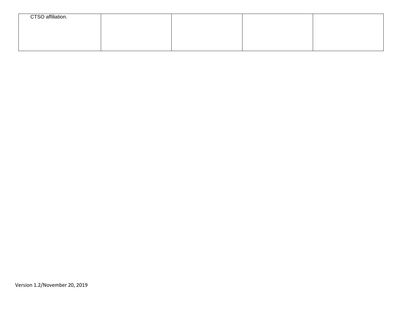| CTSO affiliation. |  |  |
|-------------------|--|--|
|                   |  |  |
|                   |  |  |
|                   |  |  |
|                   |  |  |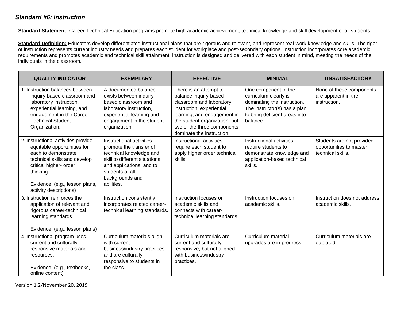#### *Standard #6: Instruction*

Standard Statement: Career-Technical Education programs promote high academic achievement, technical knowledge and skill development of all students.

Standard Definition: Educators develop differentiated instructional plans that are rigorous and relevant, and represent real-work knowledge and skills. The rigor of instruction represents current industry needs and prepares each student for workplace and post-secondary options. Instruction incorporates core academic requirements and promotes academic and technical skill attainment. Instruction is designed and delivered with each student in mind, meeting the needs of the individuals in the classroom.

| <b>QUALITY INDICATOR</b>                                                                                                                                                                                                     | <b>EXEMPLARY</b>                                                                                                                                                                                | <b>EFFECTIVE</b>                                                                                                                                                                                                                     | <b>MINIMAL</b>                                                                                                                                            | <b>UNSATISFACTORY</b>                                                     |
|------------------------------------------------------------------------------------------------------------------------------------------------------------------------------------------------------------------------------|-------------------------------------------------------------------------------------------------------------------------------------------------------------------------------------------------|--------------------------------------------------------------------------------------------------------------------------------------------------------------------------------------------------------------------------------------|-----------------------------------------------------------------------------------------------------------------------------------------------------------|---------------------------------------------------------------------------|
| 1. Instruction balances between<br>inquiry-based classroom and<br>laboratory instruction,<br>experiential learning, and<br>engagement in the Career<br><b>Technical Student</b><br>Organization.                             | A documented balance<br>exists between inquiry-<br>based classroom and<br>laboratory instruction,<br>experiential learning and<br>engagement in the student<br>organization.                    | There is an attempt to<br>balance inquiry-based<br>classroom and laboratory<br>instruction, experiential<br>learning, and engagement in<br>the student organization, but<br>two of the three components<br>dominate the instruction. | One component of the<br>curriculum clearly is<br>dominating the instruction.<br>The instructor(s) has a plan<br>to bring deficient areas into<br>balance. | None of these components<br>are apparent in the<br>instruction.           |
| 2. Instructional activities provide<br>equitable opportunities for<br>each to demonstrate<br>technical skills and develop<br>critical higher- order<br>thinking.<br>Evidence: (e.g., lesson plans,<br>activity descriptions) | Instructional activities<br>promote the transfer of<br>technical knowledge and<br>skill to different situations<br>and applications, and to<br>students of all<br>backgrounds and<br>abilities. | Instructional activities<br>require each student to<br>apply higher order technical<br>skills.                                                                                                                                       | Instructional activities<br>require students to<br>demonstrate knowledge and<br>application-based technical<br>skills.                                    | Students are not provided<br>opportunities to master<br>technical skills. |
| 3. Instruction reinforces the<br>application of relevant and<br>rigorous career-technical<br>learning standards.<br>Evidence: (e.g., lesson plans)                                                                           | Instruction consistently<br>incorporates related career-<br>technical learning standards.                                                                                                       | Instruction focuses on<br>academic skills and<br>connects with career-<br>technical learning standards.                                                                                                                              | Instruction focuses on<br>academic skills.                                                                                                                | Instruction does not address<br>academic skills.                          |
| 4. Instructional program uses<br>current and culturally<br>responsive materials and<br>resources.<br>Evidence: (e.g., textbooks,<br>online content)                                                                          | Curriculum materials align<br>with current<br>business/industry practices<br>and are culturally<br>responsive to students in<br>the class.                                                      | Curriculum materials are<br>current and culturally<br>responsive, but not aligned<br>with business/industry<br>practices.                                                                                                            | Curriculum material<br>upgrades are in progress.                                                                                                          | Curriculum materials are<br>outdated.                                     |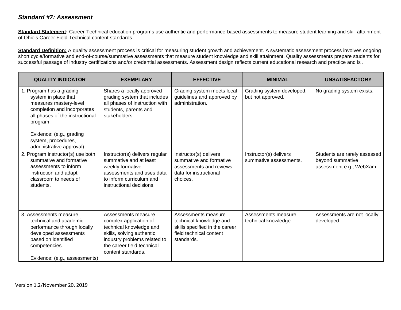#### *Standard #7: Assessment*

Standard Statement: Career-Technical education programs use authentic and performance-based assessments to measure student learning and skill attainment of Ohio's Career Field Technical content standards.

**Standard Definition:** A quality assessment process is critical for measuring student growth and achievement. A systematic assessment process involves ongoing short cycle/formative and end-of-course/summative assessments that measure student knowledge and skill attainment. Quality assessments prepare students for successful passage of industry certifications and/or credential assessments. Assessment design reflects current educational research and practice and is.

| <b>QUALITY INDICATOR</b>                                                                                                                                                                                                                | <b>EXEMPLARY</b>                                                                                                                                                                          | <b>EFFECTIVE</b>                                                                                                          | <b>MINIMAL</b>                                   | <b>UNSATISFACTORY</b>                                                        |
|-----------------------------------------------------------------------------------------------------------------------------------------------------------------------------------------------------------------------------------------|-------------------------------------------------------------------------------------------------------------------------------------------------------------------------------------------|---------------------------------------------------------------------------------------------------------------------------|--------------------------------------------------|------------------------------------------------------------------------------|
| 1. Program has a grading<br>system in place that<br>measures mastery-level<br>completion and incorporates<br>all phases of the instructional<br>program.<br>Evidence: (e.g., grading<br>system, procedures,<br>administrative approval) | Shares a locally approved<br>grading system that includes<br>all phases of instruction with<br>students, parents and<br>stakeholders.                                                     | Grading system meets local<br>guidelines and approved by<br>administration.                                               | Grading system developed,<br>but not approved.   | No grading system exists.                                                    |
| 2. Program instructor(s) use both<br>summative and formative<br>assessments to inform<br>instruction and adapt<br>classroom to needs of<br>students.                                                                                    | Instructor(s) delivers regular<br>summative and at least<br>weekly formative<br>assessments and uses data<br>to inform curriculum and<br>instructional decisions.                         | Instructor(s) delivers<br>summative and formative<br>assessments and reviews<br>data for instructional<br>choices.        | Instructor(s) delivers<br>summative assessments. | Students are rarely assessed<br>beyond summative<br>assessment e.g., WebXam. |
| 3. Assessments measure<br>technical and academic<br>performance through locally<br>developed assessments<br>based on identified<br>competencies.<br>Evidence: (e.g., assessments)                                                       | Assessments measure<br>complex application of<br>technical knowledge and<br>skills, solving authentic<br>industry problems related to<br>the career field technical<br>content standards. | Assessments measure<br>technical knowledge and<br>skills specified in the career<br>field technical content<br>standards. | Assessments measure<br>technical knowledge.      | Assessments are not locally<br>developed.                                    |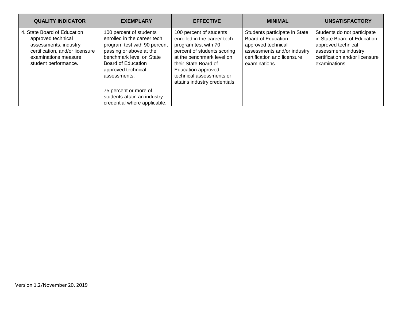| <b>QUALITY INDICATOR</b>                                                                                                                                      | <b>EXEMPLARY</b>                                                                                                                                                                                          | <b>EFFECTIVE</b>                                                                                                                                                                                                                                             | <b>MINIMAL</b>                                                                                                                                           | <b>UNSATISFACTORY</b>                                                                                                                                       |
|---------------------------------------------------------------------------------------------------------------------------------------------------------------|-----------------------------------------------------------------------------------------------------------------------------------------------------------------------------------------------------------|--------------------------------------------------------------------------------------------------------------------------------------------------------------------------------------------------------------------------------------------------------------|----------------------------------------------------------------------------------------------------------------------------------------------------------|-------------------------------------------------------------------------------------------------------------------------------------------------------------|
| 4. State Board of Education<br>approved technical<br>assessments, industry<br>certification, and/or licensure<br>examinations measure<br>student performance. | 100 percent of students<br>enrolled in the career tech<br>program test with 90 percent<br>passing or above at the<br>benchmark level on State<br>Board of Education<br>approved technical<br>assessments. | 100 percent of students<br>enrolled in the career tech<br>program test with 70<br>percent of students scoring<br>at the benchmark level on<br>their State Board of<br><b>Education approved</b><br>technical assessments or<br>attains industry credentials. | Students participate in State<br>Board of Education<br>approved technical<br>assessments and/or industry<br>certification and licensure<br>examinations. | Students do not participate<br>in State Board of Education<br>approved technical<br>assessments industry<br>certification and/or licensure<br>examinations. |
|                                                                                                                                                               | 75 percent or more of                                                                                                                                                                                     |                                                                                                                                                                                                                                                              |                                                                                                                                                          |                                                                                                                                                             |
|                                                                                                                                                               | students attain an industry                                                                                                                                                                               |                                                                                                                                                                                                                                                              |                                                                                                                                                          |                                                                                                                                                             |
|                                                                                                                                                               | credential where applicable.                                                                                                                                                                              |                                                                                                                                                                                                                                                              |                                                                                                                                                          |                                                                                                                                                             |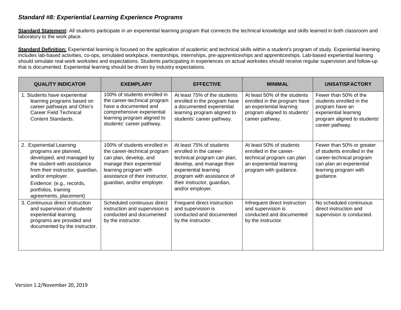#### *Standard #8: Experiential Learning Experience Programs*

Standard Statement: All students participate in an experiential learning program that connects the technical knowledge and skills learned in both classroom and laboratory to the work place.

Standard Definition: Experiential learning is focused on the application of academic and technical skills within a student's program of study. Experiential learning includes lab-based activities, co-ops, simulated workplace, mentorships, internships, pre-apprenticeships and apprenticeships. Lab-based experiential learning should simulate real-work worksites and expectations. Students participating in experiences on actual worksites should receive regular supervision and follow-up that is documented. Experiential learning should be driven by industry expectations.

| <b>QUALITY INDICATOR</b>                                                                                                                                                                                                                             | <b>EXEMPLARY</b>                                                                                                                                                                                              | <b>EFFECTIVE</b>                                                                                                                                                                                                          | <b>MINIMAL</b>                                                                                                                              | <b>UNSATISFACTORY</b>                                                                                                                                  |  |  |
|------------------------------------------------------------------------------------------------------------------------------------------------------------------------------------------------------------------------------------------------------|---------------------------------------------------------------------------------------------------------------------------------------------------------------------------------------------------------------|---------------------------------------------------------------------------------------------------------------------------------------------------------------------------------------------------------------------------|---------------------------------------------------------------------------------------------------------------------------------------------|--------------------------------------------------------------------------------------------------------------------------------------------------------|--|--|
| 1. Students have experiential<br>learning programs based on<br>career pathways and Ohio's<br><b>Career Field Technical</b><br><b>Content Standards.</b>                                                                                              | 100% of students enrolled in<br>the career-technical program<br>have a documented and<br>comprehensive experiential<br>learning program aligned to<br>students' career pathway.                               | At least 75% of the students<br>enrolled in the program have<br>a documented experiential<br>learning program aligned to<br>students' career pathway.                                                                     | At least 50% of the students<br>enrolled in the program have<br>an experiential learning<br>program aligned to students'<br>career pathway. | Fewer than 50% of the<br>students enrolled in the<br>program have an<br>experiential learning<br>program aligned to students'<br>career pathway.       |  |  |
| 2. Experiential Learning<br>programs are planned,<br>developed, and managed by<br>the student with assistance<br>from their instructor, guardian,<br>and/or employer.<br>Evidence: (e.g., records,<br>portfolios, training<br>agreements, placement) | 100% of students enrolled in<br>the career-technical program<br>can plan, develop, and<br>manage their experiential<br>learning program with<br>assistance of their instructor.<br>guardian, and/or employer. | At least 75% of students<br>enrolled in the career-<br>technical program can plan,<br>develop, and manage their<br>experiential learning<br>program with assistance of<br>their instructor, guardian,<br>and/or employer. | At least 50% of students<br>enrolled in the career-<br>technical program can plan<br>an experiential learning<br>program with guidance.     | Fewer than 50% or greater<br>of students enrolled in the<br>career-technical program<br>can plan an experiential<br>learning program with<br>guidance. |  |  |
| 3. Continuous direct instruction<br>and supervision of students'<br>experiential learning<br>programs are provided and<br>documented by the instructor.                                                                                              | Scheduled continuous direct<br>instruction and supervision is<br>conducted and documented<br>by the instructor.                                                                                               | Frequent direct instruction<br>and supervision is<br>conducted and documented<br>by the instructor.                                                                                                                       | Infrequent direct instruction<br>and supervision is<br>conducted and documented<br>by the instructor.                                       | No scheduled continuous<br>direct instruction and<br>supervision is conducted.                                                                         |  |  |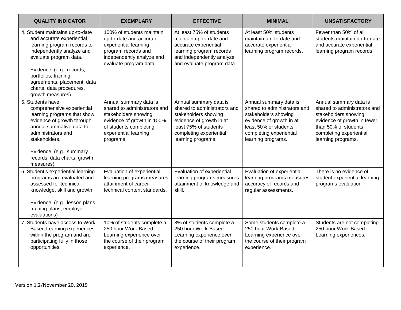| <b>QUALITY INDICATOR</b>                                                                                                                                                                                                                                                               | <b>EXEMPLARY</b>                                                                                                                                                             | <b>EFFECTIVE</b>                                                                                                                                                                     | <b>MINIMAL</b>                                                                                                                                                                       | <b>UNSATISFACTORY</b>                                                                                                                                                                  |
|----------------------------------------------------------------------------------------------------------------------------------------------------------------------------------------------------------------------------------------------------------------------------------------|------------------------------------------------------------------------------------------------------------------------------------------------------------------------------|--------------------------------------------------------------------------------------------------------------------------------------------------------------------------------------|--------------------------------------------------------------------------------------------------------------------------------------------------------------------------------------|----------------------------------------------------------------------------------------------------------------------------------------------------------------------------------------|
| 4. Student maintains up-to-date<br>and accurate experiential<br>learning program records to<br>independently analyze and<br>evaluate program data.<br>Evidence: (e.g., records,<br>portfolios, training<br>agreements, placement, data<br>charts, data procedures,<br>growth measures) | 100% of students maintain<br>up-to-date and accurate<br>experiential learning<br>program records and<br>independently analyze and<br>evaluate program data.                  | At least 75% of students<br>maintain up-to-date and<br>accurate experiential<br>learning program records<br>and independently analyze<br>and evaluate program data.                  | At least 50% students<br>maintain up- to-date and<br>accurate experiential<br>learning program records.                                                                              |                                                                                                                                                                                        |
| 5. Students have<br>comprehensive experiential<br>learning programs that show<br>evidence of growth through<br>annual summative data to<br>administrators and<br>stakeholders.<br>Evidence: (e.g., summary<br>records, data charts, growth<br>measures)                                | Annual summary data is<br>shared to administrators and<br>stakeholders showing<br>evidence of growth in 100%<br>of students completing<br>experiential learning<br>programs. | Annual summary data is<br>shared to administrators and<br>stakeholders showing<br>evidence of growth in at<br>least 75% of students<br>completing experiential<br>learning programs. | Annual summary data is<br>shared to administrators and<br>stakeholders showing<br>evidence of growth in at<br>least 50% of students<br>completing experiential<br>learning programs. | Annual summary data is<br>shared to administrators and<br>stakeholders showing<br>evidence of growth in fewer<br>than 50% of students<br>completing experiential<br>learning programs. |
| 6. Student's experiential learning<br>programs are evaluated and<br>assessed for technical<br>knowledge, skill and growth.<br>Evidence: (e.g., lesson plans,<br>training plans, employer<br>evaluations)                                                                               | Evaluation of experiential<br>learning programs measures<br>attainment of career-<br>technical content standards.                                                            | Evaluation of experiential<br>learning programs measures<br>attainment of knowledge and<br>skill.                                                                                    | Evaluation of experiential<br>learning programs measures<br>accuracy of records and<br>regular assessments.                                                                          | There is no evidence of<br>student experiential learning<br>programs evaluation.                                                                                                       |
| 7. Students have access to Work-<br><b>Based Learning experiences</b><br>within the program and are<br>participating fully in those<br>opportunities.                                                                                                                                  | 10% of students complete a<br>250 hour Work-Based<br>Learning experience over<br>the course of their program<br>experience.                                                  | 8% of students complete a<br>250 hour Work-Based<br>Learning experience over<br>the course of their program<br>experience.                                                           | Some students complete a<br>250 hour Work-Based<br>Learning experience over<br>the course of their program<br>experience.                                                            | Students are not completing<br>250 hour Work-Based<br>Learning experiences.                                                                                                            |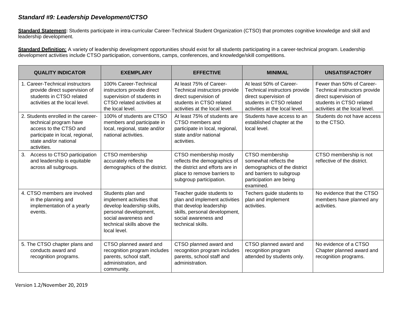#### *Standard #9: Leadership Development/CTSO*

Standard Statement: Students participate in intra-curricular Career-Technical Student Organization (CTSO) that promotes cognitive knowledge and skill and leadership development.

Standard Definition: A variety of leadership development opportunities should exist for all students participating in a career-technical program. Leadership development activities include CTSO participation, conventions, camps, conferences, and knowledge/skill competitions.

| <b>QUALITY INDICATOR</b>                                                                                                                                           | <b>EXEMPLARY</b>                                                                                                                                                            | <b>EFFECTIVE</b>                                                                                                                                                    | <b>MINIMAL</b>                                                                                                                                  | <b>UNSATISFACTORY</b>                                                                                                                             |
|--------------------------------------------------------------------------------------------------------------------------------------------------------------------|-----------------------------------------------------------------------------------------------------------------------------------------------------------------------------|---------------------------------------------------------------------------------------------------------------------------------------------------------------------|-------------------------------------------------------------------------------------------------------------------------------------------------|---------------------------------------------------------------------------------------------------------------------------------------------------|
| 1. Career-Technical instructors<br>provide direct supervision of<br>students in CTSO related<br>activities at the local level.                                     | 100% Career-Technical<br>instructors provide direct<br>supervision of students in<br>CTSO related activities at<br>the local level.                                         | At least 75% of Career-<br>Technical instructors provide<br>direct supervision of<br>students in CTSO related<br>activities at the local level.                     | At least 50% of Career-<br>Technical instructors provide<br>direct supervision of<br>students in CTSO related<br>activities at the local level. | Fewer than 50% of Career-<br>Technical instructors provide<br>direct supervision of<br>students in CTSO related<br>activities at the local level. |
| 2. Students enrolled in the career-<br>technical program have<br>access to the CTSO and<br>participate in local, regional,<br>state and/or national<br>activities. | 100% of students are CTSO<br>members and participate in<br>local, regional, state and/or<br>national activities.                                                            | At least 75% of students are<br>CTSO members and<br>participate in local, regional,<br>state and/or national<br>activities.                                         | Students have access to an<br>established chapter at the<br>local level.                                                                        | Students do not have access<br>to the CTSO.                                                                                                       |
| Access to CTSO participation<br>3.<br>and leadership is equitable<br>across all subgroups.                                                                         | CTSO membership<br>accurately reflects the<br>demographics of the district.                                                                                                 | CTSO membership mostly<br>reflects the demographics of<br>the district and efforts are in<br>place to remove barriers to<br>subgroup participation.                 | CTSO membership<br>somewhat reflects the<br>demographics of the district<br>and barriers to subgroup<br>participation are being<br>examined.    | CTSO membership is not<br>reflective of the district.                                                                                             |
| 4. CTSO members are involved<br>in the planning and<br>implementation of a yearly<br>events.                                                                       | Students plan and<br>implement activities that<br>develop leadership skills,<br>personal development,<br>social awareness and<br>technical skills above the<br>local level. | Teacher guide students to<br>plan and implement activities<br>that develop leadership<br>skills, personal development,<br>social awareness and<br>technical skills. | Techers guide students to<br>plan and implement<br>activities.                                                                                  | No evidence that the CTSO<br>members have planned any<br>activities.                                                                              |
| 5. The CTSO chapter plans and<br>conducts award and<br>recognition programs.                                                                                       | CTSO planned award and<br>recognition program includes<br>parents, school staff,<br>administration, and<br>community.                                                       | CTSO planned award and<br>recognition program includes<br>parents, school staff and<br>administration.                                                              | CTSO planned award and<br>recognition program<br>attended by students only.                                                                     | No evidence of a CTSO<br>Chapter planned award and<br>recognition programs.                                                                       |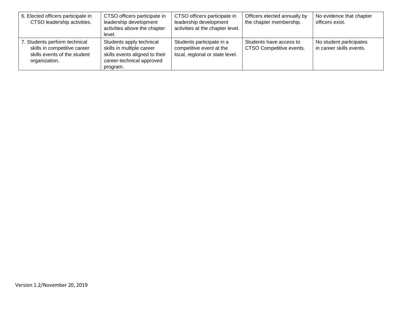| 6. Elected officers participate in<br>CTSO leadership activities.                                              | CTSO officers participate in<br>leadership development<br>activities above the chapter<br>level.                                 | CTSO officers participate in<br>leadership development<br>activities at the chapter level. | Officers elected annually by<br>the chapter membership. | No evidence that chapter<br>officers exist.         |
|----------------------------------------------------------------------------------------------------------------|----------------------------------------------------------------------------------------------------------------------------------|--------------------------------------------------------------------------------------------|---------------------------------------------------------|-----------------------------------------------------|
| 7. Students perform technical<br>skills in competitive career<br>skills events of the student<br>organization. | Students apply technical<br>skills in multiple career<br>skills events aligned to their<br>career-technical approved<br>program. | Students participate in a<br>competitive event at the<br>local, regional or state level.   | Students have access to<br>CTSO Competitive events.     | No student participates<br>in career skills events. |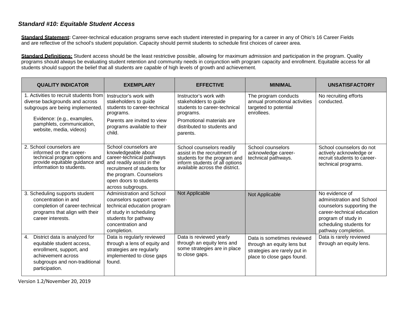#### *Standard #10: Equitable Student Access*

**Standard Statement:** Career-technical education programs serve each student interested in preparing for a career in any of Ohio's 16 Career Fields and are reflective of the school's student population. Capacity should permit students to schedule first choices of career area.

**Standard Definitions:** Student access should be the least restrictive possible, allowing for maximum admission and participation in the program. Quality programs should always be evaluating student retention and community needs in conjunction with program capacity and enrollment. Equitable access for all students should support the belief that all students are capable of high levels of growth and achievement.

| <b>QUALITY INDICATOR</b>                                                                                                                                                                           | <b>EXEMPLARY</b>                                                                                                                                                                                                | <b>EFFECTIVE</b>                                                                                                                                                     | <b>MINIMAL</b>                                                                                                         | <b>UNSATISFACTORY</b>                                                                                                                                                           |
|----------------------------------------------------------------------------------------------------------------------------------------------------------------------------------------------------|-----------------------------------------------------------------------------------------------------------------------------------------------------------------------------------------------------------------|----------------------------------------------------------------------------------------------------------------------------------------------------------------------|------------------------------------------------------------------------------------------------------------------------|---------------------------------------------------------------------------------------------------------------------------------------------------------------------------------|
| 1. Activities to recruit students from<br>diverse backgrounds and across<br>subgroups are being implemented.<br>Evidence: (e.g., examples,<br>pamphlets, communication,<br>website, media, videos) | Instructor's work with<br>stakeholders to guide<br>students to career-technical<br>programs.<br>Parents are invited to view<br>programs available to their<br>child.                                            | Instructor's work with<br>stakeholders to guide<br>students to career-technical<br>programs.<br>Promotional materials are<br>distributed to students and<br>parents. | The program conducts<br>annual promotional activities<br>targeted to potential<br>enrollees.                           | No recruiting efforts<br>conducted.                                                                                                                                             |
| 2. School counselors are<br>informed on the career-<br>technical program options and<br>provide equitable guidance and<br>information to students.                                                 | School counselors are<br>knowledgeable about<br>career-technical pathways<br>and readily assist in the<br>recruitment of students for<br>the program. Counselors<br>open doors to students<br>across subgroups. | School counselors readily<br>assist in the recruitment of<br>students for the program and<br>inform students of all options<br>available across the district.        | School counselors<br>acknowledge career-<br>technical pathways.                                                        | School counselors do not<br>actively acknowledge or<br>recruit students to career-<br>technical programs.                                                                       |
| 3. Scheduling supports student<br>concentration in and<br>completion of career-technical<br>programs that align with their<br>career interests.                                                    | <b>Administration and School</b><br>counselors support career-<br>technical education program<br>of study in scheduling<br>students for pathway<br>concentration and<br>completion.                             | Not Applicable                                                                                                                                                       | Not Applicable                                                                                                         | No evidence of<br>administration and School<br>counselors supporting the<br>career-technical education<br>program of study in<br>scheduling students for<br>pathway completion. |
| District data is analyzed for<br>4.<br>equitable student access,<br>enrollment, support, and<br>achievement across<br>subgroups and non-traditional<br>participation.                              | Data is regularly reviewed<br>through a lens of equity and<br>strategies are regularly<br>implemented to close gaps<br>found.                                                                                   | Data is reviewed yearly<br>through an equity lens and<br>some strategies are in place<br>to close gaps.                                                              | Data is sometimes reviewed<br>through an equity lens but<br>strategies are rarely put in<br>place to close gaps found. | Data is rarely reviewed<br>through an equity lens.                                                                                                                              |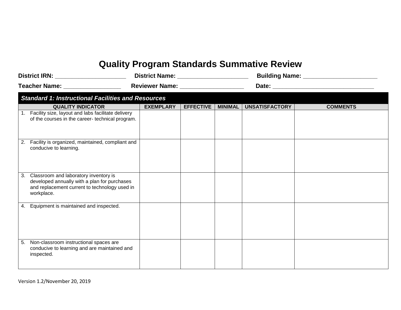# **Quality Program Standards Summative Review**

| District IRN: ______________________ |                                                                                                                                                         | District Name: _______________________ |                  |                | Building Name: _______________________ |                 |  |  |  |
|--------------------------------------|---------------------------------------------------------------------------------------------------------------------------------------------------------|----------------------------------------|------------------|----------------|----------------------------------------|-----------------|--|--|--|
|                                      |                                                                                                                                                         |                                        |                  |                |                                        |                 |  |  |  |
|                                      | <b>Standard 1: Instructional Facilities and Resources</b>                                                                                               |                                        |                  |                |                                        |                 |  |  |  |
|                                      | <b>QUALITY INDICATOR</b>                                                                                                                                | <b>EXEMPLARY</b>                       | <b>EFFECTIVE</b> | <b>MINIMAL</b> | UNSATISFACTORY                         | <b>COMMENTS</b> |  |  |  |
|                                      | 1. Facility size, layout and labs facilitate delivery<br>of the courses in the career- technical program.                                               |                                        |                  |                |                                        |                 |  |  |  |
|                                      | 2. Facility is organized, maintained, compliant and<br>conducive to learning.                                                                           |                                        |                  |                |                                        |                 |  |  |  |
|                                      | 3. Classroom and laboratory inventory is<br>developed annually with a plan for purchases<br>and replacement current to technology used in<br>workplace. |                                        |                  |                |                                        |                 |  |  |  |
|                                      | 4. Equipment is maintained and inspected.                                                                                                               |                                        |                  |                |                                        |                 |  |  |  |
|                                      | 5. Non-classroom instructional spaces are<br>conducive to learning and are maintained and<br>inspected.                                                 |                                        |                  |                |                                        |                 |  |  |  |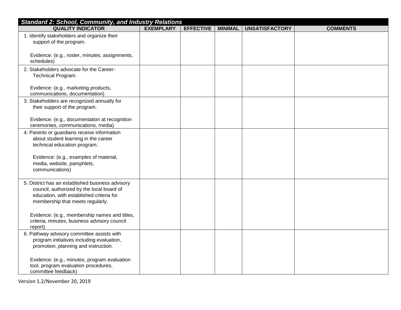| <b>Standard 2: School, Community, and Industry Relations</b>                                                                                                                  |                  |                  |                |                       |                 |
|-------------------------------------------------------------------------------------------------------------------------------------------------------------------------------|------------------|------------------|----------------|-----------------------|-----------------|
| <b>QUALITY INDICATOR</b>                                                                                                                                                      | <b>EXEMPLARY</b> | <b>EFFECTIVE</b> | <b>MINIMAL</b> | <b>UNSATISFACTORY</b> | <b>COMMENTS</b> |
| 1. Identify stakeholders and organize their<br>support of the program.                                                                                                        |                  |                  |                |                       |                 |
| Evidence: (e.g., roster, minutes, assignments,<br>schedules)                                                                                                                  |                  |                  |                |                       |                 |
| 2. Stakeholders advocate for the Career-<br>Technical Program.                                                                                                                |                  |                  |                |                       |                 |
| Evidence: (e.g., marketing products,<br>communications, documentation)                                                                                                        |                  |                  |                |                       |                 |
| 3. Stakeholders are recognized annually for<br>their support of the program.                                                                                                  |                  |                  |                |                       |                 |
| Evidence: (e.g., documentation at recognition<br>ceremonies, communications, media)                                                                                           |                  |                  |                |                       |                 |
| 4. Parents or guardians receive information<br>about student learning in the career<br>technical education program.                                                           |                  |                  |                |                       |                 |
| Evidence: (e.g., examples of material,<br>media, website, pamphlets,<br>communications)                                                                                       |                  |                  |                |                       |                 |
| 5. District has an established business advisory<br>council, authorized by the local board of<br>education, with established criteria for<br>membership that meets regularly. |                  |                  |                |                       |                 |
| Evidence: (e.g., membership names and titles,<br>criteria, minutes, business advisory council<br>report)                                                                      |                  |                  |                |                       |                 |
| 6. Pathway advisory committee assists with<br>program initiatives including evaluation,<br>promotion, planning and instruction.                                               |                  |                  |                |                       |                 |
| Evidence: (e.g., minutes, program evaluation<br>tool, program evaluation procedures,<br>committee feedback)                                                                   |                  |                  |                |                       |                 |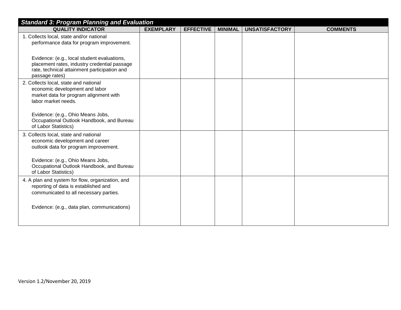| <b>Standard 3: Program Planning and Evaluation</b>                                                                                                            |                  |                  |                |                       |                 |  |
|---------------------------------------------------------------------------------------------------------------------------------------------------------------|------------------|------------------|----------------|-----------------------|-----------------|--|
| <b>QUALITY INDICATOR</b>                                                                                                                                      | <b>EXEMPLARY</b> | <b>EFFECTIVE</b> | <b>MINIMAL</b> | <b>UNSATISFACTORY</b> | <b>COMMENTS</b> |  |
| 1. Collects local, state and/or national<br>performance data for program improvement.                                                                         |                  |                  |                |                       |                 |  |
| Evidence: (e.g., local student evaluations,<br>placement rates, industry credential passage<br>rate, technical attainment participation and<br>passage rates) |                  |                  |                |                       |                 |  |
| 2. Collects local, state and national<br>economic development and labor<br>market data for program alignment with<br>labor market needs.                      |                  |                  |                |                       |                 |  |
| Evidence: (e.g., Ohio Means Jobs,<br>Occupational Outlook Handbook, and Bureau<br>of Labor Statistics)                                                        |                  |                  |                |                       |                 |  |
| 3. Collects local, state and national<br>economic development and career<br>outlook data for program improvement.                                             |                  |                  |                |                       |                 |  |
| Evidence: (e.g., Ohio Means Jobs,<br>Occupational Outlook Handbook, and Bureau<br>of Labor Statistics)                                                        |                  |                  |                |                       |                 |  |
| 4. A plan and system for flow, organization, and<br>reporting of data is established and<br>communicated to all necessary parties.                            |                  |                  |                |                       |                 |  |
| Evidence: (e.g., data plan, communications)                                                                                                                   |                  |                  |                |                       |                 |  |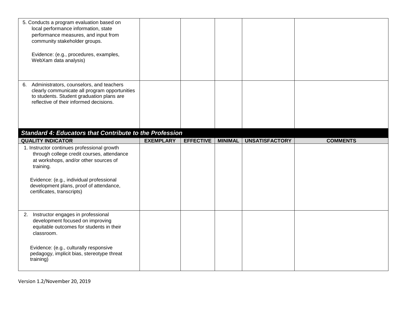|    | 5. Conducts a program evaluation based on<br>local performance information, state<br>performance measures, and input from<br>community stakeholder groups.<br>Evidence: (e.g., procedures, examples,<br>WebXam data analysis) |                  |                  |                |                       |                 |
|----|-------------------------------------------------------------------------------------------------------------------------------------------------------------------------------------------------------------------------------|------------------|------------------|----------------|-----------------------|-----------------|
| 6. | Administrators, counselors, and teachers<br>clearly communicate all program opportunities<br>to students. Student graduation plans are<br>reflective of their informed decisions.                                             |                  |                  |                |                       |                 |
|    | <b>Standard 4: Educators that Contribute to the Profession</b><br><b>QUALITY INDICATOR</b>                                                                                                                                    | <b>EXEMPLARY</b> | <b>EFFECTIVE</b> | <b>MINIMAL</b> | <b>UNSATISFACTORY</b> | <b>COMMENTS</b> |
|    | 1. Instructor continues professional growth                                                                                                                                                                                   |                  |                  |                |                       |                 |
|    | through college credit courses, attendance<br>at workshops, and/or other sources of<br>training.<br>Evidence: (e.g., individual professional<br>development plans, proof of attendance,<br>certificates, transcripts)         |                  |                  |                |                       |                 |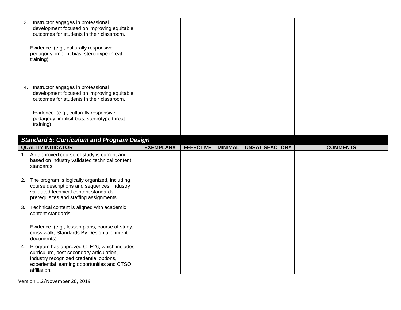| 3. | Instructor engages in professional<br>development focused on improving equitable<br>outcomes for students in their classroom.<br>Evidence: (e.g., culturally responsive<br>pedagogy, implicit bias, stereotype threat<br>training) |                  |                  |                |                       |                 |
|----|------------------------------------------------------------------------------------------------------------------------------------------------------------------------------------------------------------------------------------|------------------|------------------|----------------|-----------------------|-----------------|
| 4. | Instructor engages in professional<br>development focused on improving equitable<br>outcomes for students in their classroom.<br>Evidence: (e.g., culturally responsive<br>pedagogy, implicit bias, stereotype threat<br>training) |                  |                  |                |                       |                 |
|    | <b>Standard 5: Curriculum and Program Design</b>                                                                                                                                                                                   |                  |                  |                |                       |                 |
|    | <b>QUALITY INDICATOR</b>                                                                                                                                                                                                           | <b>EXEMPLARY</b> | <b>EFFECTIVE</b> | <b>MINIMAL</b> | <b>UNSATISFACTORY</b> | <b>COMMENTS</b> |
|    | 1. An approved course of study is current and<br>based on industry validated technical content<br>standards.                                                                                                                       |                  |                  |                |                       |                 |
|    | 2. The program is logically organized, including<br>course descriptions and sequences, industry<br>validated technical content standards,<br>prerequisites and staffing assignments.                                               |                  |                  |                |                       |                 |
| 3. | Technical content is aligned with academic<br>content standards.<br>Evidence: (e.g., lesson plans, course of study,                                                                                                                |                  |                  |                |                       |                 |
|    | cross walk, Standards By Design alignment<br>documents)                                                                                                                                                                            |                  |                  |                |                       |                 |
| 4. | Program has approved CTE26, which includes<br>curriculum, post secondary articulation,                                                                                                                                             |                  |                  |                |                       |                 |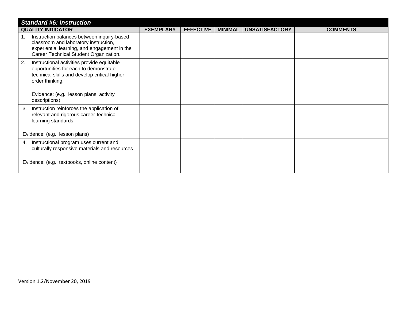| <b>Standard #6: Instruction</b>                                                                                                                                               |                  |                  |                |                       |                 |  |  |
|-------------------------------------------------------------------------------------------------------------------------------------------------------------------------------|------------------|------------------|----------------|-----------------------|-----------------|--|--|
| <b>QUALITY INDICATOR</b>                                                                                                                                                      | <b>EXEMPLARY</b> | <b>EFFECTIVE</b> | <b>MINIMAL</b> | <b>UNSATISFACTORY</b> | <b>COMMENTS</b> |  |  |
| Instruction balances between inquiry-based<br>classroom and laboratory instruction,<br>experiential learning, and engagement in the<br>Career Technical Student Organization. |                  |                  |                |                       |                 |  |  |
| 2.<br>Instructional activities provide equitable<br>opportunities for each to demonstrate<br>technical skills and develop critical higher-<br>order thinking.                 |                  |                  |                |                       |                 |  |  |
| Evidence: (e.g., lesson plans, activity<br>descriptions)                                                                                                                      |                  |                  |                |                       |                 |  |  |
| Instruction reinforces the application of<br>3.<br>relevant and rigorous career-technical<br>learning standards.                                                              |                  |                  |                |                       |                 |  |  |
| Evidence: (e.g., lesson plans)                                                                                                                                                |                  |                  |                |                       |                 |  |  |
| Instructional program uses current and<br>4.<br>culturally responsive materials and resources.                                                                                |                  |                  |                |                       |                 |  |  |
| Evidence: (e.g., textbooks, online content)                                                                                                                                   |                  |                  |                |                       |                 |  |  |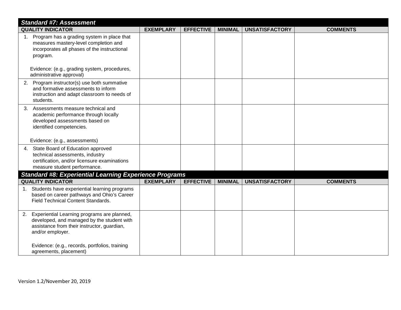| <b>Standard #7: Assessment</b>                                                                                                                                     |                  |                  |                |                       |                 |
|--------------------------------------------------------------------------------------------------------------------------------------------------------------------|------------------|------------------|----------------|-----------------------|-----------------|
| <b>QUALITY INDICATOR</b>                                                                                                                                           | <b>EXEMPLARY</b> | <b>EFFECTIVE</b> | <b>MINIMAL</b> | <b>UNSATISFACTORY</b> | <b>COMMENTS</b> |
| 1. Program has a grading system in place that<br>measures mastery-level completion and<br>incorporates all phases of the instructional<br>program.                 |                  |                  |                |                       |                 |
| Evidence: (e.g., grading system, procedures,<br>administrative approval)                                                                                           |                  |                  |                |                       |                 |
| 2. Program instructor(s) use both summative<br>and formative assessments to inform<br>instruction and adapt classroom to needs of<br>students.                     |                  |                  |                |                       |                 |
| Assessments measure technical and<br>3.<br>academic performance through locally<br>developed assessments based on<br>identified competencies.                      |                  |                  |                |                       |                 |
| Evidence: (e.g., assessments)                                                                                                                                      |                  |                  |                |                       |                 |
| 4. State Board of Education approved<br>technical assessments, industry<br>certification, and/or licensure examinations<br>measure student performance.            |                  |                  |                |                       |                 |
| <b>Standard #8: Experiential Learning Experience Programs</b>                                                                                                      |                  |                  |                |                       |                 |
| <b>QUALITY INDICATOR</b>                                                                                                                                           | <b>EXEMPLARY</b> | <b>EFFECTIVE</b> | <b>MINIMAL</b> | <b>UNSATISFACTORY</b> | <b>COMMENTS</b> |
| 1. Students have experiential learning programs<br>based on career pathways and Ohio's Career<br><b>Field Technical Content Standards.</b>                         |                  |                  |                |                       |                 |
| Experiential Learning programs are planned,<br>2.<br>developed, and managed by the student with<br>assistance from their instructor, guardian,<br>and/or employer. |                  |                  |                |                       |                 |
| Evidence: (e.g., records, portfolios, training<br>agreements, placement)                                                                                           |                  |                  |                |                       |                 |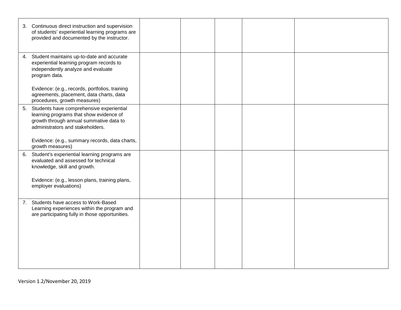|    | 3. Continuous direct instruction and supervision<br>of students' experiential learning programs are<br>provided and documented by the instructor.                  |  |  |  |
|----|--------------------------------------------------------------------------------------------------------------------------------------------------------------------|--|--|--|
| 4. | Student maintains up-to-date and accurate<br>experiential learning program records to<br>independently analyze and evaluate<br>program data.                       |  |  |  |
|    | Evidence: (e.g., records, portfolios, training<br>agreements, placement, data charts, data<br>procedures, growth measures)                                         |  |  |  |
| 5. | Students have comprehensive experiential<br>learning programs that show evidence of<br>growth through annual summative data to<br>administrators and stakeholders. |  |  |  |
|    | Evidence: (e.g., summary records, data charts,<br>growth measures)                                                                                                 |  |  |  |
| 6. | Student's experiential learning programs are<br>evaluated and assessed for technical<br>knowledge, skill and growth.                                               |  |  |  |
|    | Evidence: (e.g., lesson plans, training plans,<br>employer evaluations)                                                                                            |  |  |  |
| 7. | Students have access to Work-Based<br>Learning experiences within the program and<br>are participating fully in those opportunities.                               |  |  |  |
|    |                                                                                                                                                                    |  |  |  |
|    |                                                                                                                                                                    |  |  |  |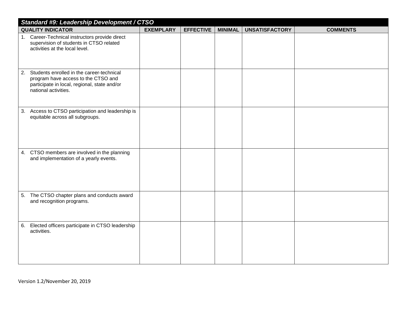| Standard #9: Leadership Development / CTSO                                                                                                                     |                  |                  |                |                       |                 |  |  |
|----------------------------------------------------------------------------------------------------------------------------------------------------------------|------------------|------------------|----------------|-----------------------|-----------------|--|--|
| <b>QUALITY INDICATOR</b>                                                                                                                                       | <b>EXEMPLARY</b> | <b>EFFECTIVE</b> | <b>MINIMAL</b> | <b>UNSATISFACTORY</b> | <b>COMMENTS</b> |  |  |
| 1. Career-Technical instructors provide direct<br>supervision of students in CTSO related<br>activities at the local level.                                    |                  |                  |                |                       |                 |  |  |
| Students enrolled in the career-technical<br>2.<br>program have access to the CTSO and<br>participate in local, regional, state and/or<br>national activities. |                  |                  |                |                       |                 |  |  |
| 3. Access to CTSO participation and leadership is<br>equitable across all subgroups.                                                                           |                  |                  |                |                       |                 |  |  |
| 4. CTSO members are involved in the planning<br>and implementation of a yearly events.                                                                         |                  |                  |                |                       |                 |  |  |
| 5. The CTSO chapter plans and conducts award<br>and recognition programs.                                                                                      |                  |                  |                |                       |                 |  |  |
| 6. Elected officers participate in CTSO leadership<br>activities.                                                                                              |                  |                  |                |                       |                 |  |  |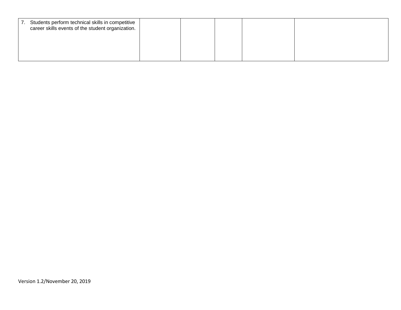| 7. | Students perform technical skills in competitive<br>career skills events of the student organization. |  |  |  |
|----|-------------------------------------------------------------------------------------------------------|--|--|--|
|    |                                                                                                       |  |  |  |
|    |                                                                                                       |  |  |  |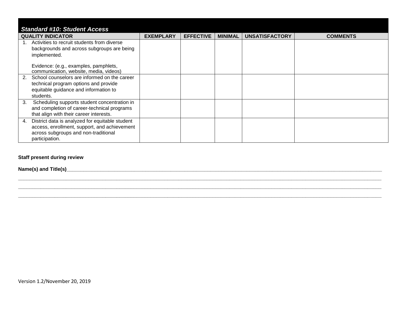| <b>Standard #10: Student Access</b>                                                                                                                             |                  |                  |                |                       |                 |  |
|-----------------------------------------------------------------------------------------------------------------------------------------------------------------|------------------|------------------|----------------|-----------------------|-----------------|--|
| <b>QUALITY INDICATOR</b>                                                                                                                                        | <b>EXEMPLARY</b> | <b>EFFECTIVE</b> | <b>MINIMAL</b> | <b>UNSATISFACTORY</b> | <b>COMMENTS</b> |  |
| Activities to recruit students from diverse<br>backgrounds and across subgroups are being<br>implemented.                                                       |                  |                  |                |                       |                 |  |
| Evidence: (e.g., examples, pamphlets,<br>communication, website, media, videos)                                                                                 |                  |                  |                |                       |                 |  |
| School counselors are informed on the career<br>2.<br>technical program options and provide<br>equitable guidance and information to<br>students.               |                  |                  |                |                       |                 |  |
| Scheduling supports student concentration in<br>3.<br>and completion of career-technical programs<br>that align with their career interests.                    |                  |                  |                |                       |                 |  |
| District data is analyzed for equitable student<br>4.<br>access, enrollment, support, and achievement<br>across subgroups and non-traditional<br>participation. |                  |                  |                |                       |                 |  |

**\_\_\_\_\_\_\_\_\_\_\_\_\_\_\_\_\_\_\_\_\_\_\_\_\_\_\_\_\_\_\_\_\_\_\_\_\_\_\_\_\_\_\_\_\_\_\_\_\_\_\_\_\_\_\_\_\_\_\_\_\_\_\_\_\_\_\_\_\_\_\_\_\_\_\_\_\_\_\_\_\_\_\_\_\_\_\_\_\_\_\_\_\_\_\_\_\_\_\_\_\_\_\_\_\_\_\_\_\_\_\_\_\_\_\_\_\_\_\_\_\_\_\_\_\_\_\_\_\_**

#### **Staff present during review**

**Name(s) and Title(s)\_\_\_\_\_\_\_\_\_\_\_\_\_\_\_\_\_\_\_\_\_\_\_\_\_\_\_\_\_\_\_\_\_\_\_\_\_\_\_\_\_\_\_\_\_\_\_\_\_\_\_\_\_\_\_\_\_\_\_\_\_\_\_\_\_\_\_\_\_\_\_\_\_\_\_\_\_\_\_\_\_\_\_\_\_\_\_\_\_\_\_\_\_\_\_\_\_\_\_\_\_\_\_\_\_\_\_\_\_\_\_\_**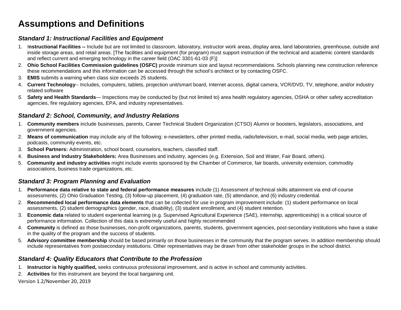# **Assumptions and Definitions**

### *Standard 1: Instructional Facilities and Equipment*

- 1. I**nstructional Facilities --** Include but are not limited to classroom, laboratory, instructor work areas, display area, land laboratories, greenhouse, outside and inside storage areas, and retail areas. [The facilities and equipment (for program) must support instruction of the technical and academic content standards and reflect current and emerging technology in the career field (OAC 3301-61-03 (F)]
- 2. **Ohio School Facilities Commission guidelines (OSFC)** provide minimum size and layout recommendations. Schools planning new construction reference these recommendations and this information can be accessed through the school's architect or by contacting OSFC.
- 3. **EMIS** submits a warning when class size exceeds 25 students.
- 4. **Current Technology**-- Includes, computers, tablets, projection unit/smart board, Internet access, digital camera, VCR/DVD, TV, telephone, and/or industry related software
- *5.* **Safety and Health Standards** Inspections may be conducted by (but not limited to) area health regulatory agencies, OSHA or other safety accreditation agencies, fire regulatory agencies, EPA, and industry representatives.

#### *Standard 2: School, Community, and Industry Relations*

- 1. **Community members** include businesses, parents, Career Technical Student Organization (CTSO) Alumni or boosters, legislators, associations, and government agencies.
- 2. **Means of communication** may include any of the following: e-newsletters, other printed media, radio/television, e-mail, social media, web page articles, podcasts, community events, etc.
- 3. **School Partners:** Administration, school board, counselors, teachers, classified staff.
- 4. **Business and Industry Stakeholders:** Area Businesses and industry, agencies (e.g. Extension, Soil and Water, Fair Board, others).
- 5. **Community and industry activities** might include events sponsored by the Chamber of Commerce, fair boards, university extension, commodity associations, business trade organizations, etc.

#### *Standard 3: Program Planning and Evaluation*

- 1. **Performance data relative to state and federal performance measures** include (1) Assessment of technical skills attainment via end-of-course assessments, (2) Ohio Graduation Testing, (3) follow-up placement, (4) graduation rate, (5) attendance, and (6) industry credential.
- 2. **Recommended local performance data elements** that can be collected for use in program improvement include: (1) student performance on local assessments, (2) student demographics (gender, race, disability), (3) student enrollment, and (4) student retention.
- 3. **Economic data** related to student experiential learning (e.g. Supervised Agricultural Experience (SAE), internship, apprenticeship) is a critical source of performance information. Collection of this data is extremely useful and highly recommended
- 4. **Community** is defined as those businesses, non-profit organizations, parents, students, government agencies, post-secondary institutions who have a stake in the quality of the program and the success of students.
- 5. **Advisory committee membership** should be based primarily on those businesses in the community that the program serves. In addition membership should include representatives from postsecondary institutions. Other representatives may be drawn from other stakeholder groups in the school district.

#### *Standard 4: Quality Educators that Contribute to the Profession*

- 1. **Instructor is highly qualified,** seeks continuous professional improvement, and is active in school and community activities.
- 2. **Activities** for this instrument are beyond the local bargaining unit.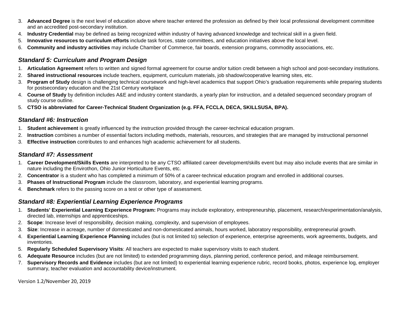- 3. **Advanced Degree** is the next level of education above where teacher entered the profession as defined by their local professional development committee and an accredited post-secondary institution.
- 4. **Industry Credential** may be defined as being recognized within industry of having advanced knowledge and technical skill in a given field.
- 5. **Innovative resources to curriculum efforts** include task forces, state committees, and education initiatives above the local level.
- 6. **Community and industry activities** may include Chamber of Commerce, fair boards, extension programs, commodity associations, etc.

#### *Standard 5: Curriculum and Program Design*

- 1. **Articulation Agreement** refers to written and signed formal agreement for course and/or tuition credit between a high school and post-secondary institutions.
- 2. **Shared instructional resources** include teachers, equipment, curriculum materials, job shadow/cooperative learning sites, etc.
- 3. **Program of Study** design is challenging technical coursework and high-level academics that support Ohio's graduation requirements while preparing students for postsecondary education and the 21st Century workplace
- 4. **Course of Study** by definition includes A&E and industry content standards, a yearly plan for instruction, and a detailed sequenced secondary program of study course outline.
- 5. **CTSO is abbreviated for Career-Technical Student Organization (e.g. FFA, FCCLA, DECA, SKILLSUSA, BPA).**

#### *Standard #6: Instruction*

- 1. **Student achievement** is greatly influenced by the instruction provided through the career-technical education program.
- 2. **Instruction** combines a number of essential factors including methods, materials, resources, and strategies that are managed by instructional personnel
- 3. **Effective instruction** contributes to and enhances high academic achievement for all students.

#### *Standard #7: Assessment*

- 1. **Career Development/Skills Events** are interpreted to be any CTSO affiliated career development/skills event but may also include events that are similar in nature including the Envirothon, Ohio Junior Horticulture Events, etc.
- 2. **Concentrator** is a student who has completed a minimum of 50% of a career-technical education program and enrolled in additional courses.
- 3. **Phases of Instructional Program** include the classroom, laboratory, and experiential learning programs.
- 4. **Benchmark** refers to the passing score on a test or other type of assessment.

#### *Standard #8: Experiential Learning Experience Programs*

- 1. **Students' Experiential Learning Experience Program:** Programs may include exploratory, entrepreneurship, placement, research/experimentation/analysis, directed lab, internships and apprenticeships.
- 2. **Scope**: Increase level of responsibility, decision making, complexity, and supervision of employees.
- 3. **Size**: Increase in acreage, number of domesticated and non-domesticated animals, hours worked, laboratory responsibility, entrepreneurial growth.
- 4. **Experiential Learning Experience Planning** includes (but is not limited to) selection of experience, enterprise agreements, work agreements, budgets, and inventories.
- 5. **Regularly Scheduled Supervisory Visits**: All teachers are expected to make supervisory visits to each student.
- 6. **Adequate Resource** includes (but are not limited) to extended programming days, planning period, conference period, and mileage reimbursement.
- 7. **Supervisory Records and Evidence** includes (but are not limited) to experiential learning experience rubric, record books, photos, experience log, employer summary, teacher evaluation and accountability device/instrument.